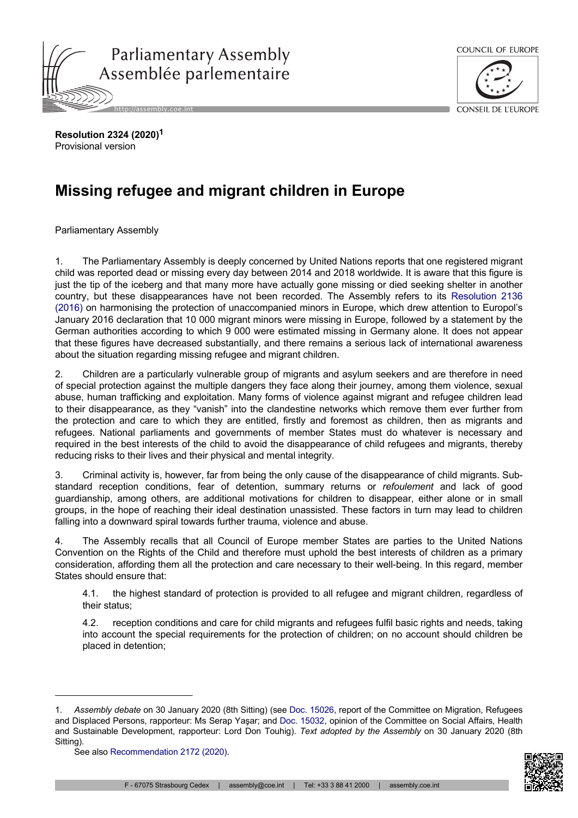



**Resolution 2324 (2020)<sup>1</sup>** Provisional version

## **Missing refugee and migrant children in Europe**

Parliamentary Assembly

1. The Parliamentary Assembly is deeply concerned by United Nations reports that one registered migrant child was reported dead or missing every day between 2014 and 2018 worldwide. It is aware that this figure is just the tip of the iceberg and that many more have actually gone missing or died seeking shelter in another country, but these disappearances have not been recorded. The Assembly refers to its [Resolution](http://assembly.coe.int/nw/xml/XRef/Xref-DocDetails-en.asp?FileId=23179) 2136 [\(2016\)](http://assembly.coe.int/nw/xml/XRef/Xref-DocDetails-en.asp?FileId=23179) on harmonising the protection of unaccompanied minors in Europe, which drew attention to Europol's January 2016 declaration that 10 000 migrant minors were missing in Europe, followed by a statement by the German authorities according to which 9 000 were estimated missing in Germany alone. It does not appear that these figures have decreased substantially, and there remains a serious lack of international awareness about the situation regarding missing refugee and migrant children.

2. Children are a particularly vulnerable group of migrants and asylum seekers and are therefore in need of special protection against the multiple dangers they face along their journey, among them violence, sexual abuse, human trafficking and exploitation. Many forms of violence against migrant and refugee children lead to their disappearance, as they "vanish" into the clandestine networks which remove them ever further from the protection and care to which they are entitled, firstly and foremost as children, then as migrants and refugees. National parliaments and governments of member States must do whatever is necessary and required in the best interests of the child to avoid the disappearance of child refugees and migrants, thereby reducing risks to their lives and their physical and mental integrity.

3. Criminal activity is, however, far from being the only cause of the disappearance of child migrants. Substandard reception conditions, fear of detention, summary returns or *refoulement* and lack of good guardianship, among others, are additional motivations for children to disappear, either alone or in small groups, in the hope of reaching their ideal destination unassisted. These factors in turn may lead to children falling into a downward spiral towards further trauma, violence and abuse.

4. The Assembly recalls that all Council of Europe member States are parties to the United Nations Convention on the Rights of the Child and therefore must uphold the best interests of children as a primary consideration, affording them all the protection and care necessary to their well-being. In this regard, member States should ensure that:

4.1. the highest standard of protection is provided to all refugee and migrant children, regardless of their status;

4.2. reception conditions and care for child migrants and refugees fulfil basic rights and needs, taking into account the special requirements for the protection of children; on no account should children be placed in detention;



<sup>1.</sup> *Assembly debate* on 30 January 2020 (8th Sitting) (see [Doc. 15026](http://assembly.coe.int/nw/xml/XRef/Xref-DocDetails-en.asp?FileId=28308), report of the Committee on Migration, Refugees and Displaced Persons, rapporteur: Ms Serap Yaşar; and Doc. [15032](http://assembly.coe.int/nw/xml/XRef/Xref-DocDetails-en.asp?FileId=28337), opinion of the Committee on Social Affairs, Health and Sustainable Development, rapporteur: Lord Don Touhig). *Text adopted by the Assembly* on 30 January 2020 (8th Sitting).

See also [Recommendation 2172 \(2020\).](http://assembly.coe.int/nw/xml/XRef/Xref-DocDetails-en.asp?FileId=28596)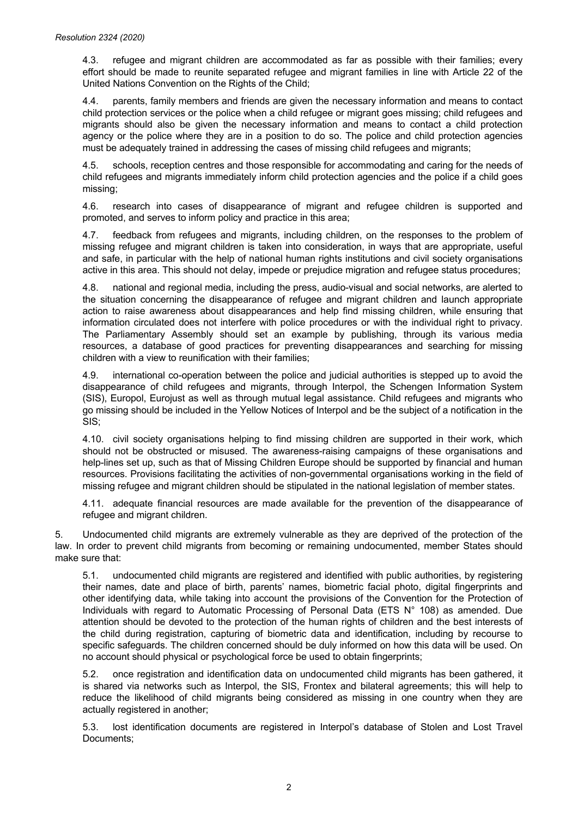4.3. refugee and migrant children are accommodated as far as possible with their families; every effort should be made to reunite separated refugee and migrant families in line with Article 22 of the United Nations Convention on the Rights of the Child;

4.4. parents, family members and friends are given the necessary information and means to contact child protection services or the police when a child refugee or migrant goes missing; child refugees and migrants should also be given the necessary information and means to contact a child protection agency or the police where they are in a position to do so. The police and child protection agencies must be adequately trained in addressing the cases of missing child refugees and migrants;

4.5. schools, reception centres and those responsible for accommodating and caring for the needs of child refugees and migrants immediately inform child protection agencies and the police if a child goes missing;

4.6. research into cases of disappearance of migrant and refugee children is supported and promoted, and serves to inform policy and practice in this area;

4.7. feedback from refugees and migrants, including children, on the responses to the problem of missing refugee and migrant children is taken into consideration, in ways that are appropriate, useful and safe, in particular with the help of national human rights institutions and civil society organisations active in this area. This should not delay, impede or prejudice migration and refugee status procedures;

4.8. national and regional media, including the press, audio-visual and social networks, are alerted to the situation concerning the disappearance of refugee and migrant children and launch appropriate action to raise awareness about disappearances and help find missing children, while ensuring that information circulated does not interfere with police procedures or with the individual right to privacy. The Parliamentary Assembly should set an example by publishing, through its various media resources, a database of good practices for preventing disappearances and searching for missing children with a view to reunification with their families;

4.9. international co-operation between the police and judicial authorities is stepped up to avoid the disappearance of child refugees and migrants, through Interpol, the Schengen Information System (SIS), Europol, Eurojust as well as through mutual legal assistance. Child refugees and migrants who go missing should be included in the Yellow Notices of Interpol and be the subject of a notification in the SIS;

4.10. civil society organisations helping to find missing children are supported in their work, which should not be obstructed or misused. The awareness-raising campaigns of these organisations and help-lines set up, such as that of Missing Children Europe should be supported by financial and human resources. Provisions facilitating the activities of non-governmental organisations working in the field of missing refugee and migrant children should be stipulated in the national legislation of member states.

4.11. adequate financial resources are made available for the prevention of the disappearance of refugee and migrant children.

5. Undocumented child migrants are extremely vulnerable as they are deprived of the protection of the law. In order to prevent child migrants from becoming or remaining undocumented, member States should make sure that:

5.1. undocumented child migrants are registered and identified with public authorities, by registering their names, date and place of birth, parents' names, biometric facial photo, digital fingerprints and other identifying data, while taking into account the provisions of the Convention for the Protection of Individuals with regard to Automatic Processing of Personal Data (ETS N° 108) as amended. Due attention should be devoted to the protection of the human rights of children and the best interests of the child during registration, capturing of biometric data and identification, including by recourse to specific safeguards. The children concerned should be duly informed on how this data will be used. On no account should physical or psychological force be used to obtain fingerprints;

5.2. once registration and identification data on undocumented child migrants has been gathered, it is shared via networks such as Interpol, the SIS, Frontex and bilateral agreements; this will help to reduce the likelihood of child migrants being considered as missing in one country when they are actually registered in another;

5.3. lost identification documents are registered in Interpol's database of Stolen and Lost Travel Documents;